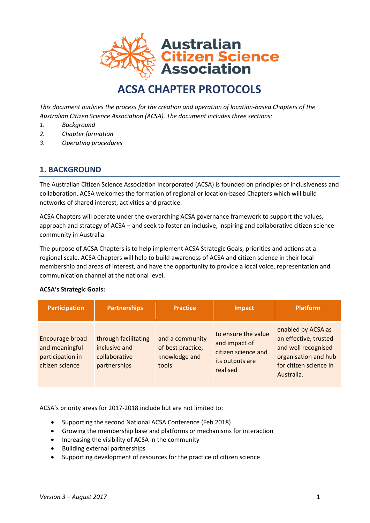

# **ACSA CHAPTER PROTOCOLS**

*This document outlines the process for the creation and operation of location-based Chapters of the Australian Citizen Science Association (ACSA). The document includes three sections:*

- *1. Background*
- *2. Chapter formation*
- *3. Operating procedures*

## **1. BACKGROUND**

The Australian Citizen Science Association Incorporated (ACSA) is founded on principles of inclusiveness and collaboration. ACSA welcomes the formation of regional or location-based Chapters which will build networks of shared interest, activities and practice.

ACSA Chapters will operate under the overarching ACSA governance framework to support the values, approach and strategy of ACSA – and seek to foster an inclusive, inspiring and collaborative citizen science community in Australia.

The purpose of ACSA Chapters is to help implement ACSA Strategic Goals, priorities and actions at a regional scale. ACSA Chapters will help to build awareness of ACSA and citizen science in their local membership and areas of interest, and have the opportunity to provide a local voice, representation and communication channel at the national level.

#### **ACSA's Strategic Goals:**

| <b>Participation</b>                                                     | <b>Partnerships</b>                                                    | <b>Practice</b>                                                | Impact                                                                                     | <b>Platform</b>                                                                                                                    |
|--------------------------------------------------------------------------|------------------------------------------------------------------------|----------------------------------------------------------------|--------------------------------------------------------------------------------------------|------------------------------------------------------------------------------------------------------------------------------------|
| Encourage broad<br>and meaningful<br>participation in<br>citizen science | through facilitating<br>inclusive and<br>collaborative<br>partnerships | and a community<br>of best practice,<br>knowledge and<br>tools | to ensure the value<br>and impact of<br>citizen science and<br>its outputs are<br>realised | enabled by ACSA as<br>an effective, trusted<br>and well recognised<br>organisation and hub<br>for citizen science in<br>Australia. |

ACSA's priority areas for 2017-2018 include but are not limited to:

- Supporting the second National ACSA Conference (Feb 2018)
- Growing the membership base and platforms or mechanisms for interaction
- Increasing the visibility of ACSA in the community
- Building external partnerships
- Supporting development of resources for the practice of citizen science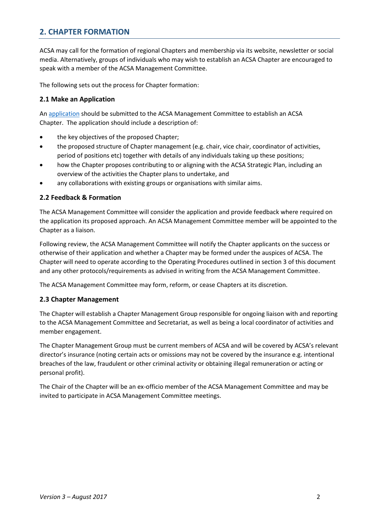# **2. CHAPTER FORMATION**

ACSA may call for the formation of regional Chapters and membership via its website, newsletter or social media. Alternatively, groups of individuals who may wish to establish an ACSA Chapter are encouraged to speak with a member of the ACSA Management Committee.

The following sets out the process for Chapter formation:

#### **2.1 Make an Application**

An [application](http://citizenscience.org.au/wp-content/uploads/2017/09/ACSA-Chapter-Application-Template.docx) should be submitted to the ACSA Management Committee to establish an ACSA Chapter. The application should include a description of:

- the key objectives of the proposed Chapter;
- the proposed structure of Chapter management (e.g. chair, vice chair, coordinator of activities, period of positions etc) together with details of any individuals taking up these positions;
- how the Chapter proposes contributing to or aligning with the ACSA Strategic Plan, including an overview of the activities the Chapter plans to undertake, and
- any collaborations with existing groups or organisations with similar aims.

#### **2.2 Feedback & Formation**

The ACSA Management Committee will consider the application and provide feedback where required on the application its proposed approach. An ACSA Management Committee member will be appointed to the Chapter as a liaison.

Following review, the ACSA Management Committee will notify the Chapter applicants on the success or otherwise of their application and whether a Chapter may be formed under the auspices of ACSA. The Chapter will need to operate according to the Operating Procedures outlined in section 3 of this document and any other protocols/requirements as advised in writing from the ACSA Management Committee.

The ACSA Management Committee may form, reform, or cease Chapters at its discretion.

#### **2.3 Chapter Management**

The Chapter will establish a Chapter Management Group responsible for ongoing liaison with and reporting to the ACSA Management Committee and Secretariat, as well as being a local coordinator of activities and member engagement.

The Chapter Management Group must be current members of ACSA and will be covered by ACSA's relevant director's insurance (noting certain acts or omissions may not be covered by the insurance e.g. intentional breaches of the law, fraudulent or other criminal activity or obtaining illegal remuneration or acting or personal profit).

The Chair of the Chapter will be an ex-officio member of the ACSA Management Committee and may be invited to participate in ACSA Management Committee meetings.